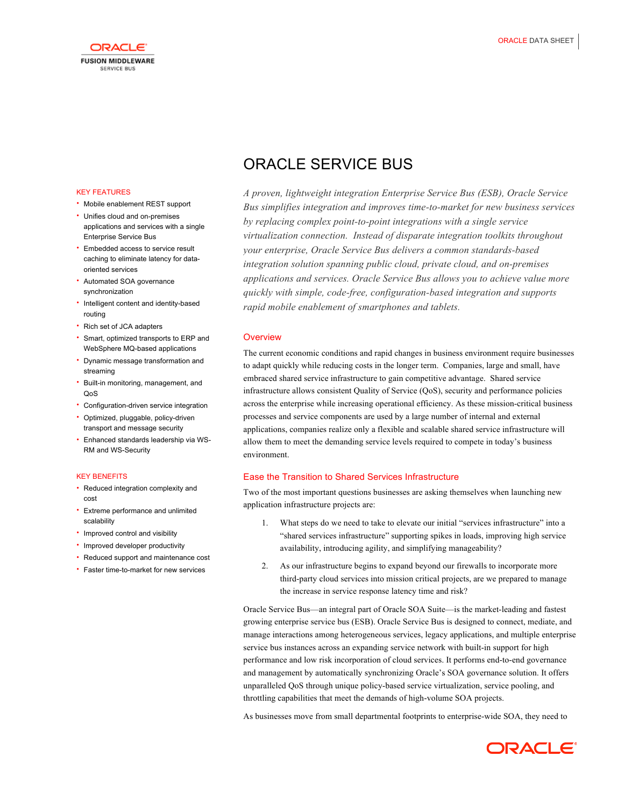

# ORACLE SERVICE BUS

 *A proven, lightweight integration Enterprise Service Bus (ESB), Oracle Service Bus simplifies integration and improves time-to-market for new business services by replacing complex point-to-point integrations with a single service virtualization connection. Instead of disparate integration toolkits throughout your enterprise, Oracle Service Bus delivers a common standards-based applications and services. Oracle Service Bus allows you to achieve value more quickly with simple, code-free, configuration-based integration and supports rapid mobile enablement of smartphones and tablets. integration solution spanning public cloud, private cloud, and on-premises* 

# **Overview**

 The current economic conditions and rapid changes in business environment require businesses embraced shared service infrastructure to gain competitive advantage. Shared service across the enterprise while increasing operational efficiency. As these mission-critical business processes and service components are used by a large number of internal and external allow them to meet the demanding service levels required to compete in today's business to adapt quickly while reducing costs in the longer term. Companies, large and small, have infrastructure allows consistent Quality of Service (QoS), security and performance policies applications, companies realize only a flexible and scalable shared service infrastructure will environment.

# Ease the Transition to Shared Services Infrastructure

 Two of the most important questions businesses are asking themselves when launching new application infrastructure projects are:

- 1. What steps do we need to take to elevate our initial "services infrastructure" into a "shared services infrastructure" supporting spikes in loads, improving high service availability, introducing agility, and simplifying manageability?
- 2. As our infrastructure begins to expand beyond our firewalls to incorporate more third-party cloud services into mission critical projects, are we prepared to manage the increase in service response latency time and risk?

 Oracle Service Bus—an integral part of Oracle SOA Suite—is the market-leading and fastest growing enterprise service bus (ESB). Oracle Service Bus is designed to connect, mediate, and manage interactions among heterogeneous services, legacy applications, and multiple enterprise service bus instances across an expanding service network with built-in support for high performance and low risk incorporation of cloud services. It performs end-to-end governance and management by automatically synchronizing Oracle's SOA governance solution. It offers unparalleled QoS through unique policy-based service virtualization, service pooling, and throttling capabilities that meet the demands of high-volume SOA projects.

As businesses move from small departmental footprints to enterprise-wide SOA, they need to



# KEY FEATURES

- Mobile enablement REST support
- Unifies cloud and on-premises Enterprise Service Bus applications and services with a single
- Embedded access to service result caching to eliminate latency for dataoriented services
- • Automated SOA governance synchronization
- Intelligent content and identity-based routing
- Rich set of JCA adapters
- • Smart, optimized transports to ERP and WebSphere MQ-based applications
- • Dynamic message transformation and streaming
- • Built-in monitoring, management, and QoS
- Configuration-driven service integration
- Optimized, pluggable, policy-driven transport and message security
- • Enhanced standards leadership via WS-RM and WS-Security

## KEY BENEFITS

- Reduced integration complexity and cost
- Extreme performance and unlimited scalability
- Improved control and visibility
- Improved developer productivity
- Reduced support and maintenance cost
- Faster time-to-market for new services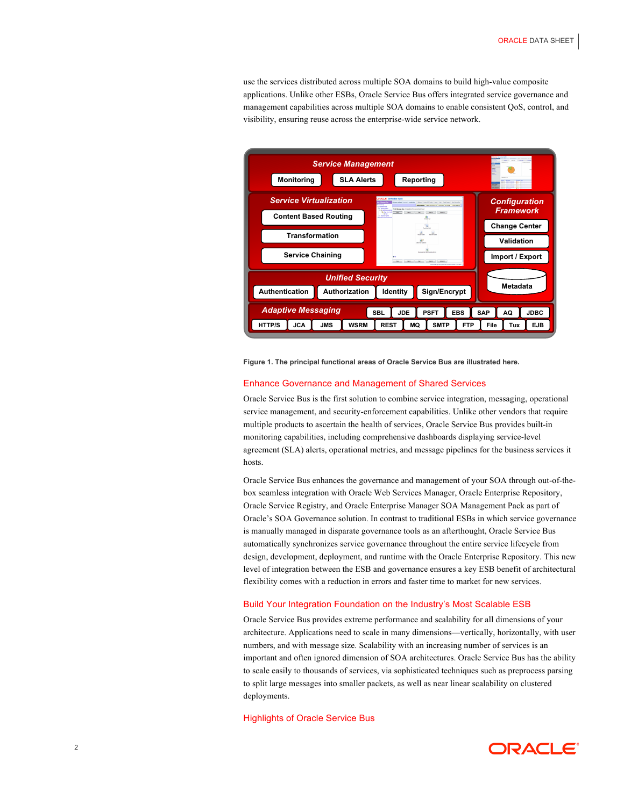use the services distributed across multiple SOA domains to build high-value composite applications. Unlike other ESBs, Oracle Service Bus offers integrated service governance and management capabilities across multiple SOA domains to enable consistent QoS, control, and visibility, ensuring reuse across the enterprise-wide service network.



 **Figure 1. The principal functional areas of Oracle Service Bus are illustrated here.** 

## Enhance Governance and Management of Shared Services

 Oracle Service Bus is the first solution to combine service integration, messaging, operational service management, and security-enforcement capabilities. Unlike other vendors that require multiple products to ascertain the health of services, Oracle Service Bus provides built-in monitoring capabilities, including comprehensive dashboards displaying service-level agreement (SLA) alerts, operational metrics, and message pipelines for the business services it hosts.

 Oracle Service Bus enhances the governance and management of your SOA through out-of-the- Oracle Service Registry, and Oracle Enterprise Manager SOA Management Pack as part of Oracle's SOA Governance solution. In contrast to traditional ESBs in which service governance is manually managed in disparate governance tools as an afterthought, Oracle Service Bus design, development, deployment, and runtime with the Oracle Enterprise Repository. This new flexibility comes with a reduction in errors and faster time to market for new services. box seamless integration with Oracle Web Services Manager, Oracle Enterprise Repository, automatically synchronizes service governance throughout the entire service lifecycle from level of integration between the ESB and governance ensures a key ESB benefit of architectural

## Build Your Integration Foundation on the Industry's Most Scalable ESB

 Oracle Service Bus provides extreme performance and scalability for all dimensions of your architecture. Applications need to scale in many dimensions—vertically, horizontally, with user numbers, and with message size. Scalability with an increasing number of services is an important and often ignored dimension of SOA architectures. Oracle Service Bus has the ability to scale easily to thousands of services, via sophisticated techniques such as preprocess parsing to split large messages into smaller packets, as well as near linear scalability on clustered deployments.

#### Highlights of Oracle Service Bus

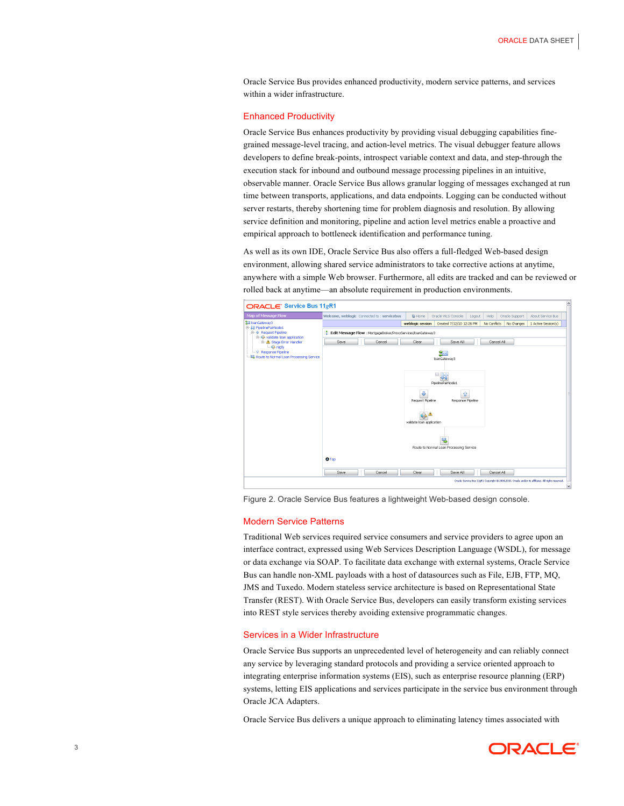Oracle Service Bus provides enhanced productivity, modern service patterns, and services within a wider infrastructure.

## Enhanced Productivity

 Oracle Service Bus enhances productivity by providing visual debugging capabilities fine- developers to define break-points, introspect variable context and data, and step-through the execution stack for inbound and outbound message processing pipelines in an intuitive, observable manner. Oracle Service Bus allows granular logging of messages exchanged at run time between transports, applications, and data endpoints. Logging can be conducted without server restarts, thereby shortening time for problem diagnosis and resolution. By allowing service definition and monitoring, pipeline and action level metrics enable a proactive and empirical approach to bottleneck identification and performance tuning. grained message-level tracing, and action-level metrics. The visual debugger feature allows

 As well as its own IDE, Oracle Service Bus also offers a full-fledged Web-based design environment, allowing shared service administrators to take corrective actions at anytime, anywhere with a simple Web browser. Furthermore, all edits are tracked and can be reviewed or rolled back at anytime—an absolute requirement in production environments.



Figure 2. Oracle Service Bus features a lightweight Web-based design console.

#### Modern Service Patterns

 Traditional Web services required service consumers and service providers to agree upon an or data exchange via SOAP. To facilitate data exchange with external systems, Oracle Service Bus can handle non-XML payloads with a host of datasources such as File, EJB, FTP, MQ, JMS and Tuxedo. Modern stateless service architecture is based on Representational State Transfer (REST). With Oracle Service Bus, developers can easily transform existing services into REST style services thereby avoiding extensive programmatic changes. interface contract, expressed using Web Services Description Language (WSDL), for message

#### Services in a Wider Infrastructure

 Oracle Service Bus supports an unprecedented level of heterogeneity and can reliably connect any service by leveraging standard protocols and providing a service oriented approach to systems, letting EIS applications and services participate in the service bus environment through integrating enterprise information systems (EIS), such as enterprise resource planning (ERP) Oracle JCA Adapters.

Oracle Service Bus delivers a unique approach to eliminating latency times associated with